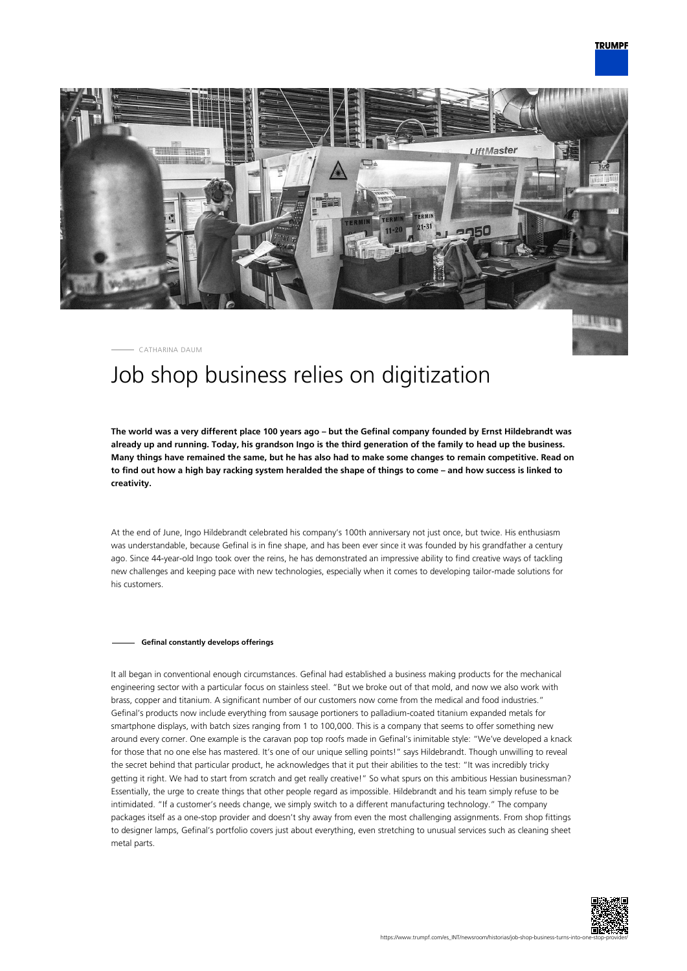

CATHARINA DAUM

## Job shop business relies on digitization

**The world was a very different place 100 years ago – but the Gefinal company founded by Ernst Hildebrandt was already up and running. Today, his grandson Ingo is the third generation of the family to head up the business. Many things have remained the same, but he has also had to make some changes to remain competitive. Read on to find out how a high bay racking system heralded the shape of things to come – and how success is linked to creativity.**

At the end of June, Ingo Hildebrandt celebrated his company's 100th anniversary not just once, but twice. His enthusiasm was understandable, because Gefinal is in fine shape, and has been ever since it was founded by his grandfather a century ago. Since 44-year-old Ingo took over the reins, he has demonstrated an impressive ability to find creative ways of tackling new challenges and keeping pace with new technologies, especially when it comes to developing tailor-made solutions for his customers.

## **Gefinal constantly develops offerings**

It all began in conventional enough circumstances. Gefinal had established a business making products for the mechanical engineering sector with a particular focus on stainless steel. "But we broke out of that mold, and now we also work with brass, copper and titanium. A significant number of our customers now come from the medical and food industries." Gefinal's products now include everything from sausage portioners to palladium-coated titanium expanded metals for smartphone displays, with batch sizes ranging from 1 to 100,000. This is a company that seems to offer something new around every corner. One example is the caravan pop top roofs made in Gefinal's inimitable style: "We've developed a knack for those that no one else has mastered. It's one of our unique selling points!" says Hildebrandt. Though unwilling to reveal the secret behind that particular product, he acknowledges that it put their abilities to the test: "It was incredibly tricky getting it right. We had to start from scratch and get really creative!" So what spurs on this ambitious Hessian businessman? Essentially, the urge to create things that other people regard as impossible. Hildebrandt and his team simply refuse to be intimidated. "If a customer's needs change, we simply switch to a different manufacturing technology." The company packages itself as a one-stop provider and doesn't shy away from even the most challenging assignments. From shop fittings to designer lamps, Gefinal's portfolio covers just about everything, even stretching to unusual services such as cleaning sheet metal parts.

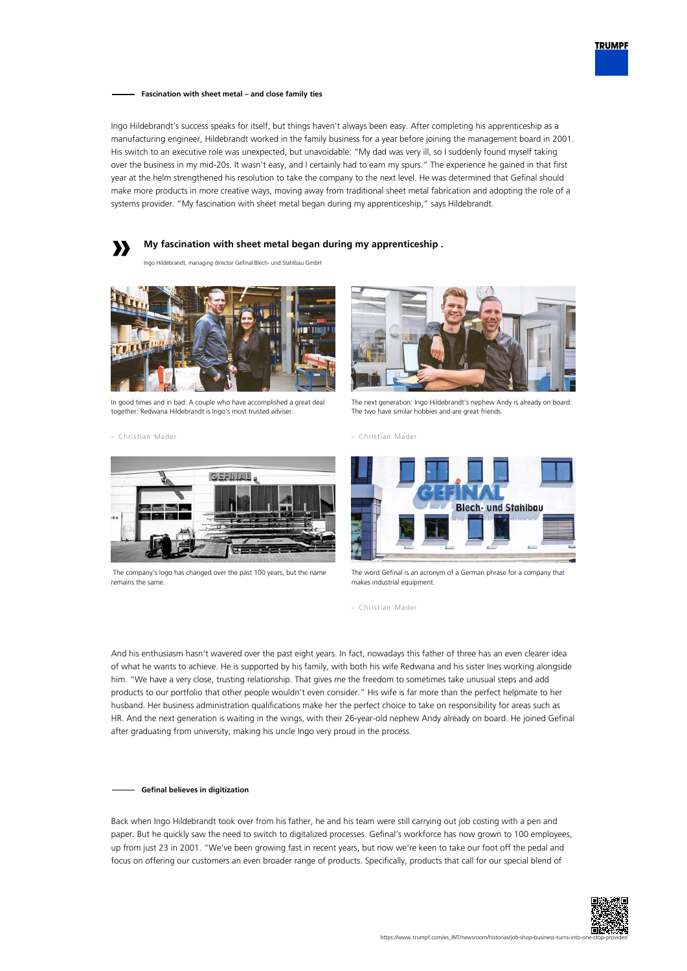

**Fascination with sheet metal – and close family ties**

Ingo Hildebrandt's success speaks for itself, but things haven't always been easy. After completing his apprenticeship as a manufacturing engineer, Hildebrandt worked in the family business for a year before joining the management board in 2001. His switch to an executive role was unexpected, but unavoidable: "My dad was very ill, so I suddenly found myself taking over the business in my mid-20s. It wasn't easy, and I certainly had to earn my spurs." The experience he gained in that first year at the helm strengthened his resolution to take the company to the next level. He was determined that Gefinal should make more products in more creative ways, moving away from traditional sheet metal fabrication and adopting the role of a systems provider. "My fascination with sheet metal began during my apprenticeship," says Hildebrandt.



Ingo Hildebrandt, managing director Gefinal Blech- und Stahlbau GmbH



In good times and in bad: A couple who have accomplished a great deal together: Redwana Hildebrandt is Ingo's most trusted adviser.

– Christian Mader



The next generation: Ingo Hildebrandt's nephew Andy is already on board. The two have similar hobbies and are great friends.





 The company's logo has changed over the past 100 years, but the name remains the same.



The word Gefinal is an acronym of a German phrase for a company that makes industrial equipment.

– Christian Mader

And his enthusiasm hasn't wavered over the past eight years. In fact, nowadays this father of three has an even clearer idea of what he wants to achieve. He is supported by his family, with both his wife Redwana and his sister Ines working alongside him. "We have a very close, trusting relationship. That gives me the freedom to sometimes take unusual steps and add products to our portfolio that other people wouldn't even consider." His wife is far more than the perfect helpmate to her husband. Her business administration qualifications make her the perfect choice to take on responsibility for areas such as HR. And the next generation is waiting in the wings, with their 26-year-old nephew Andy already on board. He joined Gefinal after graduating from university, making his uncle Ingo very proud in the process.

## **Gefinal believes in digitization**

Back when Ingo Hildebrandt took over from his father, he and his team were still carrying out job costing with a pen and paper. But he quickly saw the need to switch to digitalized processes. Gefinal's workforce has now grown to 100 employees, up from just 23 in 2001. "We've been growing fast in recent years, but now we're keen to take our foot off the pedal and focus on offering our customers an even broader range of products. Specifically, products that call for our special blend of

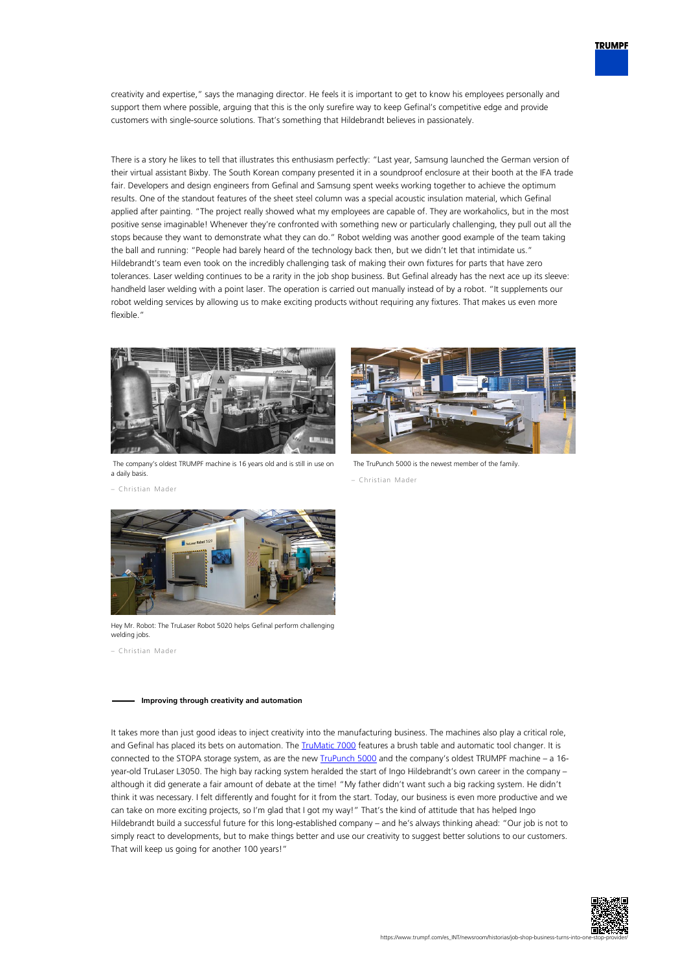

creativity and expertise," says the managing director. He feels it is important to get to know his employees personally and support them where possible, arguing that this is the only surefire way to keep Gefinal's competitive edge and provide customers with single-source solutions. That's something that Hildebrandt believes in passionately.

There is a story he likes to tell that illustrates this enthusiasm perfectly: "Last year, Samsung launched the German version of their virtual assistant Bixby. The South Korean company presented it in a soundproof enclosure at their booth at the IFA trade fair. Developers and design engineers from Gefinal and Samsung spent weeks working together to achieve the optimum results. One of the standout features of the sheet steel column was a special acoustic insulation material, which Gefinal applied after painting. "The project really showed what my employees are capable of. They are workaholics, but in the most positive sense imaginable! Whenever they're confronted with something new or particularly challenging, they pull out all the stops because they want to demonstrate what they can do." Robot welding was another good example of the team taking the ball and running: "People had barely heard of the technology back then, but we didn't let that intimidate us." Hildebrandt's team even took on the incredibly challenging task of making their own fixtures for parts that have zero tolerances. Laser welding continues to be a rarity in the job shop business. But Gefinal already has the next ace up its sleeve: handheld laser welding with a point laser. The operation is carried out manually instead of by a robot. "It supplements our robot welding services by allowing us to make exciting products without requiring any fixtures. That makes us even more flexible."



 The company's oldest TRUMPF machine is 16 years old and is still in use on a daily basis.



The TruPunch 5000 is the newest member of the family.

– Christian Mader

– Christian Mader



Hey Mr. Robot: The TruLaser Robot 5020 helps Gefinal perform challenging welding jobs.

– Christian Mader

## **Improving through creativity and automation**

It takes more than just good ideas to inject creativity into the manufacturing business. The machines also play a critical role, and Gefinal has placed its bets on automation. The *TruMatic 7000* features a brush table and automatic tool changer. It is connected to the STOPA storage system, as are the new **[TruPunch 5000](https://www.trumpf.com/es_INT/productos/maquinas-sistemas/punzonadoras/trupunch-5000/)** and the company's oldest TRUMPF machine – a 16year-old TruLaser L3050. The high bay racking system heralded the start of Ingo Hildebrandt's own career in the company – although it did generate a fair amount of debate at the time! "My father didn't want such a big racking system. He didn't think it was necessary. I felt differently and fought for it from the start. Today, our business is even more productive and we can take on more exciting projects, so I'm glad that I got my way!" That's the kind of attitude that has helped Ingo Hildebrandt build a successful future for this long-established company – and he's always thinking ahead: "Our job is not to simply react to developments, but to make things better and use our creativity to suggest better solutions to our customers. That will keep us going for another 100 years!"